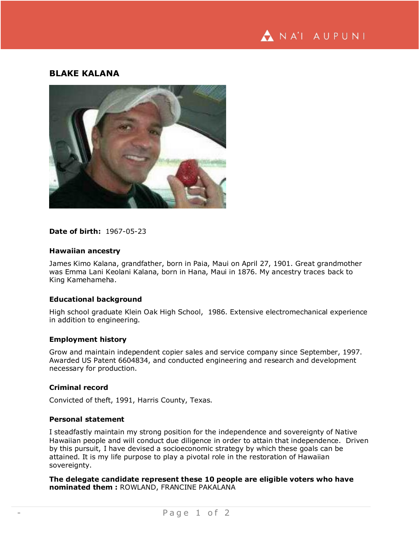

# **BLAKE KALANA**



### **Date of birth:** 1967-05-23

#### **Hawaiian ancestry**

James Kimo Kalana, grandfather, born in Paia, Maui on April 27, 1901. Great grandmother was Emma Lani Keolani Kalana, born in Hana, Maui in 1876. My ancestry traces back to King Kamehameha.

### **Educational background**

High school graduate Klein Oak High School, 1986. Extensive electromechanical experience in addition to engineering.

#### **Employment history**

Grow and maintain independent copier sales and service company since September, 1997. Awarded US Patent 6604834, and conducted engineering and research and development necessary for production.

## **Criminal record**

Convicted of theft, 1991, Harris County, Texas.

#### **Personal statement**

I steadfastly maintain my strong position for the independence and sovereignty of Native Hawaiian people and will conduct due diligence in order to attain that independence. Driven by this pursuit, I have devised a socioeconomic strategy by which these goals can be attained. It is my life purpose to play a pivotal role in the restoration of Hawaiian sovereignty.

**The delegate candidate represent these 10 people are eligible voters who have nominated them :** ROWLAND, FRANCINE PAKALANA